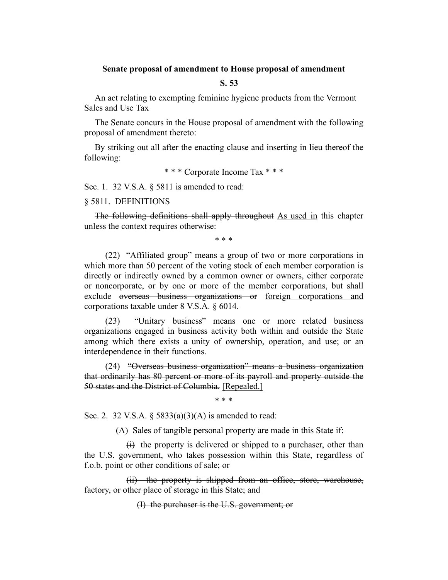## **Senate proposal of amendment to House proposal of amendment**

# **S. 53**

An act relating to exempting feminine hygiene products from the Vermont Sales and Use Tax

The Senate concurs in the House proposal of amendment with the following proposal of amendment thereto:

By striking out all after the enacting clause and inserting in lieu thereof the following:

\* \* \* Corporate Income Tax \* \* \*

Sec. 1. 32 V.S.A. § 5811 is amended to read:

#### § 5811. DEFINITIONS

The following definitions shall apply throughout As used in this chapter unless the context requires otherwise:

\* \* \*

(22) "Affiliated group" means a group of two or more corporations in which more than 50 percent of the voting stock of each member corporation is directly or indirectly owned by a common owner or owners, either corporate or noncorporate, or by one or more of the member corporations, but shall exclude overseas business organizations or foreign corporations and corporations taxable under 8 V.S.A. § 6014.

(23) "Unitary business" means one or more related business organizations engaged in business activity both within and outside the State among which there exists a unity of ownership, operation, and use; or an interdependence in their functions.

(24) "Overseas business organization" means a business organization that ordinarily has 80 percent or more of its payroll and property outside the 50 states and the District of Columbia. [Repealed.]

\* \* \*

Sec. 2. 32 V.S.A. § 5833(a)(3)(A) is amended to read:

(A) Sales of tangible personal property are made in this State if:

 $\overrightarrow{H}$  the property is delivered or shipped to a purchaser, other than the U.S. government, who takes possession within this State, regardless of f.o.b. point or other conditions of sale; or

(ii) the property is shipped from an office, store, warehouse, factory, or other place of storage in this State; and

(I) the purchaser is the U.S. government; or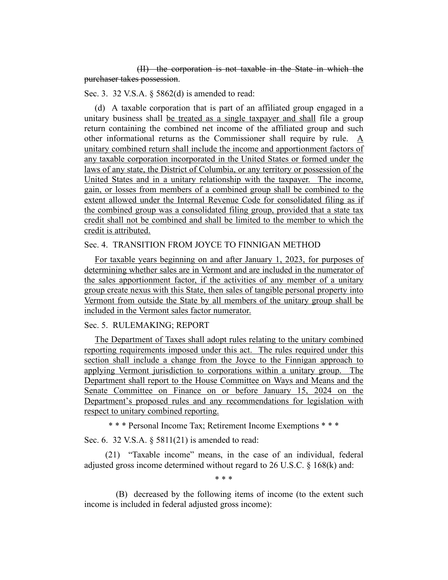(II) the corporation is not taxable in the State in which the purchaser takes possession.

## Sec. 3. 32 V.S.A. § 5862(d) is amended to read:

(d) A taxable corporation that is part of an affiliated group engaged in a unitary business shall be treated as a single taxpayer and shall file a group return containing the combined net income of the affiliated group and such other informational returns as the Commissioner shall require by rule. A unitary combined return shall include the income and apportionment factors of any taxable corporation incorporated in the United States or formed under the laws of any state, the District of Columbia, or any territory or possession of the United States and in a unitary relationship with the taxpayer. The income, gain, or losses from members of a combined group shall be combined to the extent allowed under the Internal Revenue Code for consolidated filing as if the combined group was a consolidated filing group, provided that a state tax credit shall not be combined and shall be limited to the member to which the credit is attributed.

## Sec. 4. TRANSITION FROM JOYCE TO FINNIGAN METHOD

For taxable years beginning on and after January 1, 2023, for purposes of determining whether sales are in Vermont and are included in the numerator of the sales apportionment factor, if the activities of any member of a unitary group create nexus with this State, then sales of tangible personal property into Vermont from outside the State by all members of the unitary group shall be included in the Vermont sales factor numerator.

# Sec. 5. RULEMAKING; REPORT

The Department of Taxes shall adopt rules relating to the unitary combined reporting requirements imposed under this act. The rules required under this section shall include a change from the Joyce to the Finnigan approach to applying Vermont jurisdiction to corporations within a unitary group. The Department shall report to the House Committee on Ways and Means and the Senate Committee on Finance on or before January 15, 2024 on the Department's proposed rules and any recommendations for legislation with respect to unitary combined reporting.

\* \* \* Personal Income Tax; Retirement Income Exemptions \* \* \*

Sec. 6. 32 V.S.A. § 5811(21) is amended to read:

(21) "Taxable income" means, in the case of an individual, federal adjusted gross income determined without regard to 26 U.S.C. § 168(k) and:

\* \* \*

(B) decreased by the following items of income (to the extent such income is included in federal adjusted gross income):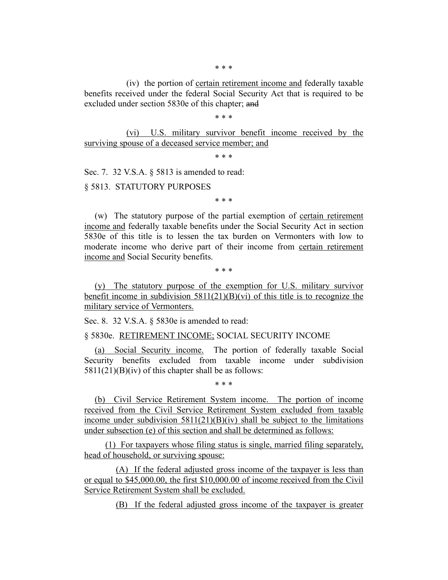(iv) the portion of certain retirement income and federally taxable benefits received under the federal Social Security Act that is required to be excluded under section 5830e of this chapter; and

\* \* \*

(vi) U.S. military survivor benefit income received by the surviving spouse of a deceased service member; and

\* \* \*

Sec. 7. 32 V.S.A. § 5813 is amended to read:

§ 5813. STATUTORY PURPOSES

\* \* \*

(w) The statutory purpose of the partial exemption of certain retirement income and federally taxable benefits under the Social Security Act in section 5830e of this title is to lessen the tax burden on Vermonters with low to moderate income who derive part of their income from certain retirement income and Social Security benefits.

\* \* \*

(y) The statutory purpose of the exemption for U.S. military survivor benefit income in subdivision  $5811(21)(B)(vi)$  of this title is to recognize the military service of Vermonters.

Sec. 8. 32 V.S.A. § 5830e is amended to read:

§ 5830e. RETIREMENT INCOME; SOCIAL SECURITY INCOME

(a) Social Security income. The portion of federally taxable Social Security benefits excluded from taxable income under subdivision  $5811(21)(B)(iv)$  of this chapter shall be as follows:

\* \* \*

(b) Civil Service Retirement System income. The portion of income received from the Civil Service Retirement System excluded from taxable income under subdivision  $5811(21)(B)(iv)$  shall be subject to the limitations under subsection (e) of this section and shall be determined as follows:

(1) For taxpayers whose filing status is single, married filing separately, head of household, or surviving spouse:

(A) If the federal adjusted gross income of the taxpayer is less than or equal to \$45,000.00, the first \$10,000.00 of income received from the Civil Service Retirement System shall be excluded.

(B) If the federal adjusted gross income of the taxpayer is greater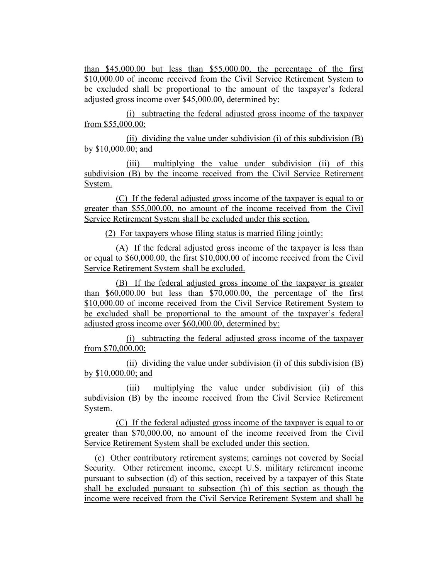than \$45,000.00 but less than \$55,000.00, the percentage of the first \$10,000.00 of income received from the Civil Service Retirement System to be excluded shall be proportional to the amount of the taxpayer's federal adjusted gross income over \$45,000.00, determined by:

(i) subtracting the federal adjusted gross income of the taxpayer from \$55,000.00;

(ii) dividing the value under subdivision (i) of this subdivision  $(B)$ by \$10,000.00; and

(iii) multiplying the value under subdivision (ii) of this subdivision (B) by the income received from the Civil Service Retirement System.

(C) If the federal adjusted gross income of the taxpayer is equal to or greater than \$55,000.00, no amount of the income received from the Civil Service Retirement System shall be excluded under this section.

(2) For taxpayers whose filing status is married filing jointly:

(A) If the federal adjusted gross income of the taxpayer is less than or equal to \$60,000.00, the first \$10,000.00 of income received from the Civil Service Retirement System shall be excluded.

(B) If the federal adjusted gross income of the taxpayer is greater than \$60,000.00 but less than \$70,000.00, the percentage of the first \$10,000.00 of income received from the Civil Service Retirement System to be excluded shall be proportional to the amount of the taxpayer's federal adjusted gross income over \$60,000.00, determined by:

(i) subtracting the federal adjusted gross income of the taxpayer from \$70,000.00;

(ii) dividing the value under subdivision (i) of this subdivision (B) by \$10,000.00; and

(iii) multiplying the value under subdivision (ii) of this subdivision (B) by the income received from the Civil Service Retirement System.

(C) If the federal adjusted gross income of the taxpayer is equal to or greater than \$70,000.00, no amount of the income received from the Civil Service Retirement System shall be excluded under this section.

(c) Other contributory retirement systems; earnings not covered by Social Security. Other retirement income, except U.S. military retirement income pursuant to subsection (d) of this section, received by a taxpayer of this State shall be excluded pursuant to subsection (b) of this section as though the income were received from the Civil Service Retirement System and shall be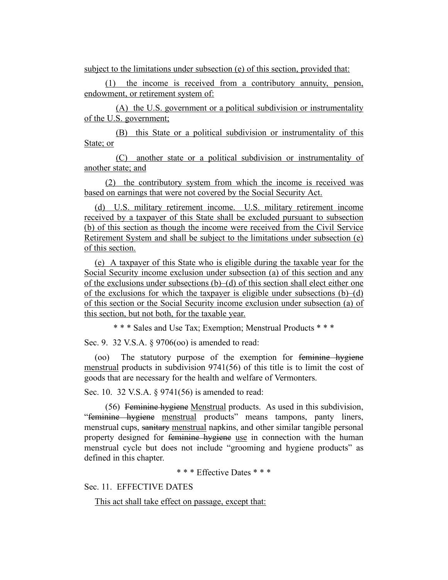subject to the limitations under subsection (e) of this section, provided that:

(1) the income is received from a contributory annuity, pension, endowment, or retirement system of:

(A) the U.S. government or a political subdivision or instrumentality of the U.S. government;

(B) this State or a political subdivision or instrumentality of this State; or

(C) another state or a political subdivision or instrumentality of another state; and

(2) the contributory system from which the income is received was based on earnings that were not covered by the Social Security Act.

(d) U.S. military retirement income. U.S. military retirement income received by a taxpayer of this State shall be excluded pursuant to subsection (b) of this section as though the income were received from the Civil Service Retirement System and shall be subject to the limitations under subsection (e) of this section.

(e) A taxpayer of this State who is eligible during the taxable year for the Social Security income exclusion under subsection (a) of this section and any of the exclusions under subsections (b)–(d) of this section shall elect either one of the exclusions for which the taxpayer is eligible under subsections (b)–(d) of this section or the Social Security income exclusion under subsection (a) of this section, but not both, for the taxable year.

\* \* \* Sales and Use Tax; Exemption; Menstrual Products \* \* \*

Sec. 9. 32 V.S.A. § 9706(00) is amended to read:

(oo) The statutory purpose of the exemption for feminine hygiene menstrual products in subdivision 9741(56) of this title is to limit the cost of goods that are necessary for the health and welfare of Vermonters.

Sec. 10. 32 V.S.A. § 9741(56) is amended to read:

(56) Feminine hygiene Menstrual products. As used in this subdivision, "feminine hygiene menstrual products" means tampons, panty liners, menstrual cups, sanitary menstrual napkins, and other similar tangible personal property designed for feminine hygiene use in connection with the human menstrual cycle but does not include "grooming and hygiene products" as defined in this chapter.

\* \* \* Effective Dates \* \* \*

Sec. 11. EFFECTIVE DATES

This act shall take effect on passage, except that: